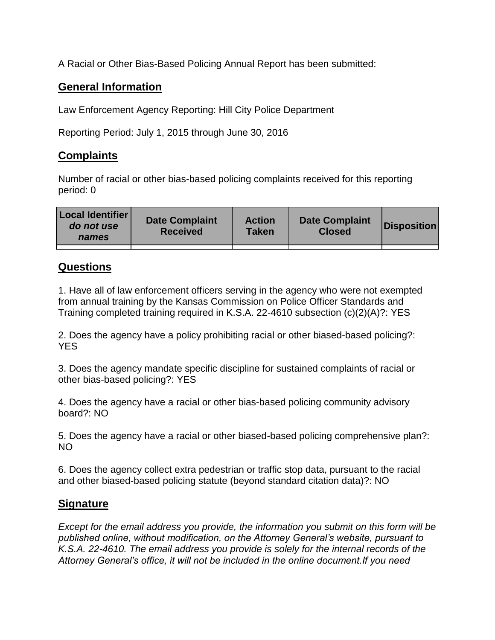A Racial or Other Bias-Based Policing Annual Report has been submitted:

## **General Information**

Law Enforcement Agency Reporting: Hill City Police Department

Reporting Period: July 1, 2015 through June 30, 2016

## **Complaints**

Number of racial or other bias-based policing complaints received for this reporting period: 0

| <b>Local Identifier</b><br>do not use<br>names | <b>Date Complaint</b><br><b>Received</b> | <b>Action</b><br><b>Taken</b> | <b>Date Complaint</b><br><b>Closed</b> | Disposition |
|------------------------------------------------|------------------------------------------|-------------------------------|----------------------------------------|-------------|
|                                                |                                          |                               |                                        |             |

## **Questions**

1. Have all of law enforcement officers serving in the agency who were not exempted from annual training by the Kansas Commission on Police Officer Standards and Training completed training required in K.S.A. 22-4610 subsection (c)(2)(A)?: YES

2. Does the agency have a policy prohibiting racial or other biased-based policing?: YES

3. Does the agency mandate specific discipline for sustained complaints of racial or other bias-based policing?: YES

4. Does the agency have a racial or other bias-based policing community advisory board?: NO

5. Does the agency have a racial or other biased-based policing comprehensive plan?: NO

6. Does the agency collect extra pedestrian or traffic stop data, pursuant to the racial and other biased-based policing statute (beyond standard citation data)?: NO

## **Signature**

*Except for the email address you provide, the information you submit on this form will be published online, without modification, on the Attorney General's website, pursuant to K.S.A. 22-4610. The email address you provide is solely for the internal records of the Attorney General's office, it will not be included in the online document.If you need*